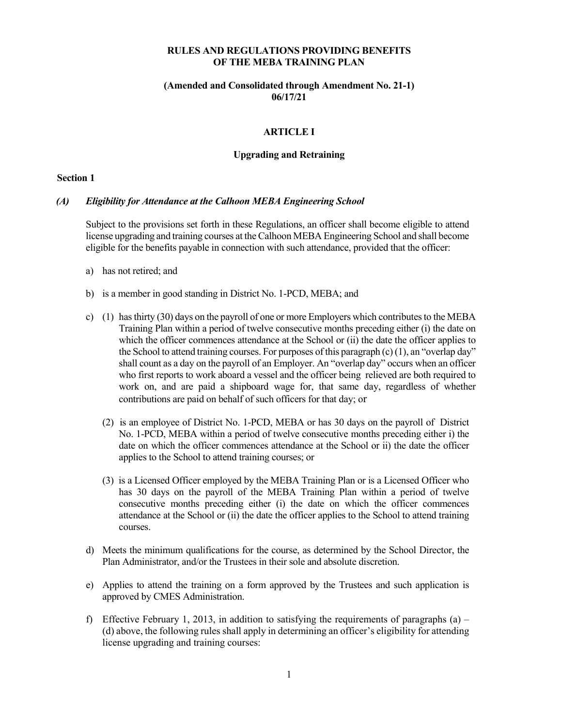## **RULES AND REGULATIONS PROVIDING BENEFITS OF THE MEBA TRAINING PLAN**

## **(Amended and Consolidated through Amendment No. 21-1) 06/17/21**

# **ARTICLE I**

#### **Upgrading and Retraining**

### **Section 1**

#### *(A) Eligibility for Attendance at the Calhoon MEBA Engineering School*

Subject to the provisions set forth in these Regulations, an officer shall become eligible to attend license upgrading and training courses at the Calhoon MEBA Engineering School and shall become eligible for the benefits payable in connection with such attendance, provided that the officer:

- a) has not retired; and
- b) is a member in good standing in District No. 1-PCD, MEBA; and
- c) (1) has thirty (30) days on the payroll of one or more Employers which contributes to the MEBA Training Plan within a period of twelve consecutive months preceding either (i) the date on which the officer commences attendance at the School or (ii) the date the officer applies to the School to attend training courses. For purposes of this paragraph (c) (1), an "overlap day" shall count as a day on the payroll of an Employer. An "overlap day" occurs when an officer who first reports to work aboard a vessel and the officer being relieved are both required to work on, and are paid a shipboard wage for, that same day, regardless of whether contributions are paid on behalf of such officers for that day; or
	- (2) is an employee of District No. 1-PCD, MEBA or has 30 days on the payroll of District No. 1-PCD, MEBA within a period of twelve consecutive months preceding either i) the date on which the officer commences attendance at the School or ii) the date the officer applies to the School to attend training courses; or
	- (3) is a Licensed Officer employed by the MEBA Training Plan or is a Licensed Officer who has 30 days on the payroll of the MEBA Training Plan within a period of twelve consecutive months preceding either (i) the date on which the officer commences attendance at the School or (ii) the date the officer applies to the School to attend training courses.
- d) Meets the minimum qualifications for the course, as determined by the School Director, the Plan Administrator, and/or the Trustees in their sole and absolute discretion.
- e) Applies to attend the training on a form approved by the Trustees and such application is approved by CMES Administration.
- f) Effective February 1, 2013, in addition to satisfying the requirements of paragraphs (a) (d) above, the following rules shall apply in determining an officer's eligibility for attending license upgrading and training courses: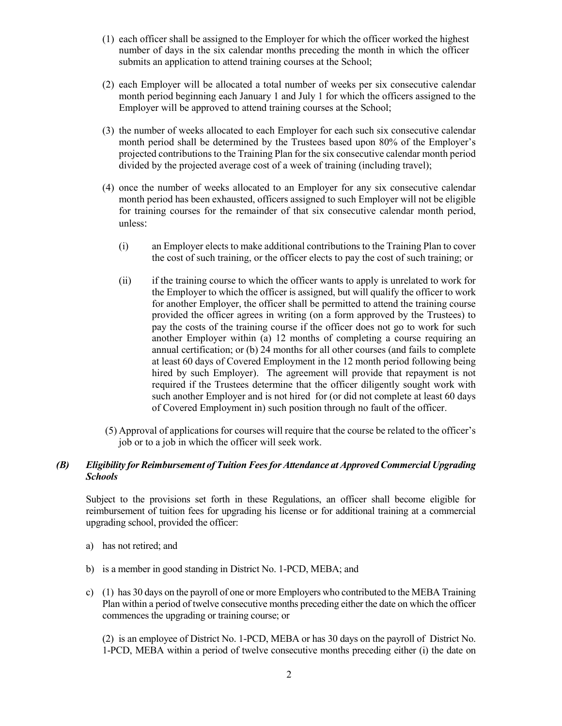- (1) each officer shall be assigned to the Employer for which the officer worked the highest number of days in the six calendar months preceding the month in which the officer submits an application to attend training courses at the School;
- (2) each Employer will be allocated a total number of weeks per six consecutive calendar month period beginning each January 1 and July 1 for which the officers assigned to the Employer will be approved to attend training courses at the School;
- (3) the number of weeks allocated to each Employer for each such six consecutive calendar month period shall be determined by the Trustees based upon 80% of the Employer's projected contributions to the Training Plan for the six consecutive calendar month period divided by the projected average cost of a week of training (including travel);
- (4) once the number of weeks allocated to an Employer for any six consecutive calendar month period has been exhausted, officers assigned to such Employer will not be eligible for training courses for the remainder of that six consecutive calendar month period, unless:
	- (i) an Employer elects to make additional contributions to the Training Plan to cover the cost of such training, or the officer elects to pay the cost of such training; or
	- (ii) if the training course to which the officer wants to apply is unrelated to work for the Employer to which the officer is assigned, but will qualify the officer to work for another Employer, the officer shall be permitted to attend the training course provided the officer agrees in writing (on a form approved by the Trustees) to pay the costs of the training course if the officer does not go to work for such another Employer within (a) 12 months of completing a course requiring an annual certification; or (b) 24 months for all other courses (and fails to complete at least 60 days of Covered Employment in the 12 month period following being hired by such Employer). The agreement will provide that repayment is not required if the Trustees determine that the officer diligently sought work with such another Employer and is not hired for (or did not complete at least 60 days of Covered Employment in) such position through no fault of the officer.
- (5) Approval of applications for courses will require that the course be related to the officer's job or to a job in which the officer will seek work.

# *(B) Eligibility for Reimbursement of Tuition Fees for Attendance at Approved Commercial Upgrading Schools*

Subject to the provisions set forth in these Regulations, an officer shall become eligible for reimbursement of tuition fees for upgrading his license or for additional training at a commercial upgrading school, provided the officer:

- a) has not retired; and
- b) is a member in good standing in District No. 1-PCD, MEBA; and
- c) (1) has 30 days on the payroll of one or more Employers who contributed to the MEBA Training Plan within a period of twelve consecutive months preceding either the date on which the officer commences the upgrading or training course; or

(2) is an employee of District No. 1-PCD, MEBA or has 30 days on the payroll of District No. 1-PCD, MEBA within a period of twelve consecutive months preceding either (i) the date on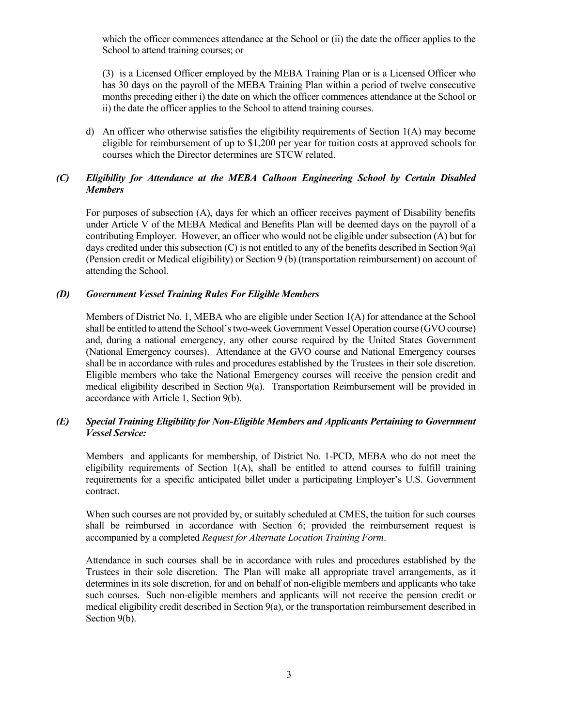which the officer commences attendance at the School or (ii) the date the officer applies to the School to attend training courses; or

(3) is a Licensed Officer employed by the MEBA Training Plan or is a Licensed Officer who has 30 days on the payroll of the MEBA Training Plan within a period of twelve consecutive months preceding either i) the date on which the officer commences attendance at the School or ii) the date the officer applies to the School to attend training courses.

d) An officer who otherwise satisfies the eligibility requirements of Section 1(A) may become eligible for reimbursement of up to \$1,200 per year for tuition costs at approved schools for courses which the Director determines are STCW related.

# *(C) Eligibility for Attendance at the MEBA Calhoon Engineering School by Certain Disabled Members*

For purposes of subsection (A), days for which an officer receives payment of Disability benefits under Article V of the MEBA Medical and Benefits Plan will be deemed days on the payroll of a contributing Employer. However, an officer who would not be eligible under subsection (A) but for days credited under this subsection (C) is not entitled to any of the benefits described in Section 9(a) (Pension credit or Medical eligibility) or Section 9 (b) (transportation reimbursement) on account of attending the School.

# *(D) Government Vessel Training Rules For Eligible Members*

Members of District No. 1, MEBA who are eligible under Section 1(A) for attendance at the School shall be entitled to attend the School's two-week Government Vessel Operation course (GVO course) and, during a national emergency, any other course required by the United States Government (National Emergency courses). Attendance at the GVO course and National Emergency courses shall be in accordance with rules and procedures established by the Trustees in their sole discretion. Eligible members who take the National Emergency courses will receive the pension credit and medical eligibility described in Section 9(a). Transportation Reimbursement will be provided in accordance with Article 1, Section 9(b).

# *(E) Special Training Eligibility for Non-Eligible Members and Applicants Pertaining to Government Vessel Service:*

Members and applicants for membership, of District No. 1-PCD, MEBA who do not meet the eligibility requirements of Section 1(A), shall be entitled to attend courses to fulfill training requirements for a specific anticipated billet under a participating Employer's U.S. Government contract.

When such courses are not provided by, or suitably scheduled at CMES, the tuition for such courses shall be reimbursed in accordance with Section 6; provided the reimbursement request is accompanied by a completed *Request for Alternate Location Training Form*.

Attendance in such courses shall be in accordance with rules and procedures established by the Trustees in their sole discretion. The Plan will make all appropriate travel arrangements, as it determines in its sole discretion, for and on behalf of non-eligible members and applicants who take such courses. Such non-eligible members and applicants will not receive the pension credit or medical eligibility credit described in Section 9(a), or the transportation reimbursement described in Section 9(b).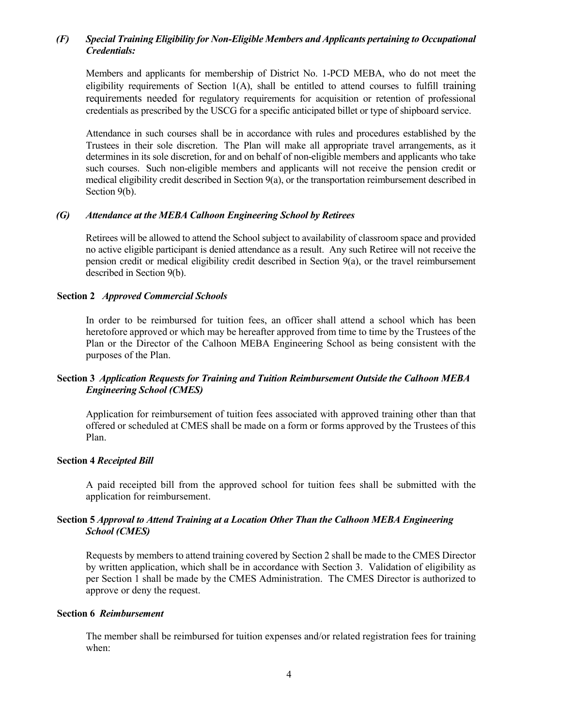# *(F) Special Training Eligibility for Non-Eligible Members and Applicants pertaining to Occupational Credentials:*

Members and applicants for membership of District No. 1-PCD MEBA, who do not meet the eligibility requirements of Section 1(A), shall be entitled to attend courses to fulfill training requirements needed for regulatory requirements for acquisition or retention of professional credentials as prescribed by the USCG for a specific anticipated billet or type of shipboard service.

Attendance in such courses shall be in accordance with rules and procedures established by the Trustees in their sole discretion. The Plan will make all appropriate travel arrangements, as it determines in its sole discretion, for and on behalf of non-eligible members and applicants who take such courses. Such non-eligible members and applicants will not receive the pension credit or medical eligibility credit described in Section 9(a), or the transportation reimbursement described in Section 9(b).

#### *(G) Attendance at the MEBA Calhoon Engineering School by Retirees*

Retirees will be allowed to attend the School subject to availability of classroom space and provided no active eligible participant is denied attendance as a result. Any such Retiree will not receive the pension credit or medical eligibility credit described in Section 9(a), or the travel reimbursement described in Section 9(b).

### **Section 2** *Approved Commercial Schools*

In order to be reimbursed for tuition fees, an officer shall attend a school which has been heretofore approved or which may be hereafter approved from time to time by the Trustees of the Plan or the Director of the Calhoon MEBA Engineering School as being consistent with the purposes of the Plan.

# **Section 3** *Application Requests for Training and Tuition Reimbursement Outside the Calhoon MEBA Engineering School (CMES)*

Application for reimbursement of tuition fees associated with approved training other than that offered or scheduled at CMES shall be made on a form or forms approved by the Trustees of this Plan.

## **Section 4** *Receipted Bill*

A paid receipted bill from the approved school for tuition fees shall be submitted with the application for reimbursement.

## **Section 5** *Approval to Attend Training at a Location Other Than the Calhoon MEBA Engineering School (CMES)*

Requests by members to attend training covered by Section 2 shall be made to the CMES Director by written application, which shall be in accordance with Section 3. Validation of eligibility as per Section 1 shall be made by the CMES Administration. The CMES Director is authorized to approve or deny the request.

#### **Section 6** *Reimbursement*

The member shall be reimbursed for tuition expenses and/or related registration fees for training when: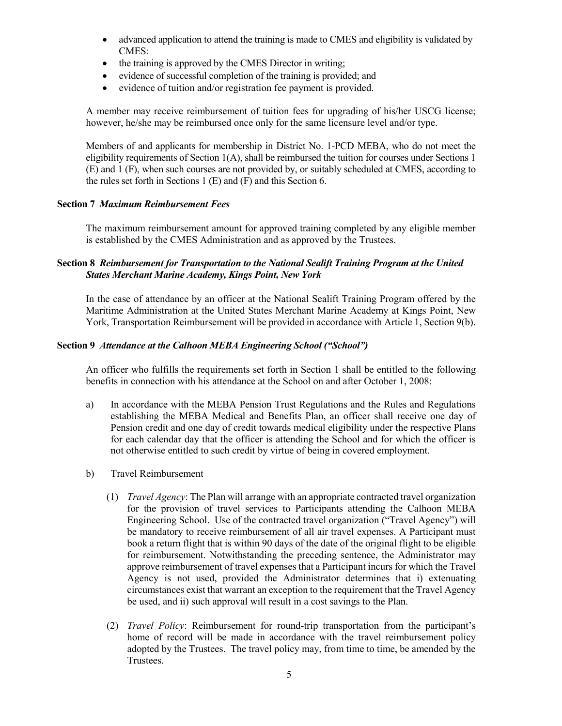- advanced application to attend the training is made to CMES and eligibility is validated by CMES:
- the training is approved by the CMES Director in writing;
- evidence of successful completion of the training is provided; and
- evidence of tuition and/or registration fee payment is provided.

A member may receive reimbursement of tuition fees for upgrading of his/her USCG license; however, he/she may be reimbursed once only for the same licensure level and/or type.

Members of and applicants for membership in District No. 1-PCD MEBA, who do not meet the eligibility requirements of Section 1(A), shall be reimbursed the tuition for courses under Sections 1 (E) and 1 (F), when such courses are not provided by, or suitably scheduled at CMES, according to the rules set forth in Sections 1 (E) and (F) and this Section 6.

## **Section 7** *Maximum Reimbursement Fees*

The maximum reimbursement amount for approved training completed by any eligible member is established by the CMES Administration and as approved by the Trustees.

# **Section 8** *Reimbursement for Transportation to the National Sealift Training Program at the United States Merchant Marine Academy, Kings Point, New York*

In the case of attendance by an officer at the National Sealift Training Program offered by the Maritime Administration at the United States Merchant Marine Academy at Kings Point, New York, Transportation Reimbursement will be provided in accordance with Article 1, Section 9(b).

## **Section 9** *Attendance at the Calhoon MEBA Engineering School ("School")*

An officer who fulfills the requirements set forth in Section 1 shall be entitled to the following benefits in connection with his attendance at the School on and after October 1, 2008:

- a) In accordance with the MEBA Pension Trust Regulations and the Rules and Regulations establishing the MEBA Medical and Benefits Plan, an officer shall receive one day of Pension credit and one day of credit towards medical eligibility under the respective Plans for each calendar day that the officer is attending the School and for which the officer is not otherwise entitled to such credit by virtue of being in covered employment.
- b) Travel Reimbursement
	- (1) *Travel Agency*: The Plan will arrange with an appropriate contracted travel organization for the provision of travel services to Participants attending the Calhoon MEBA Engineering School. Use of the contracted travel organization ("Travel Agency") will be mandatory to receive reimbursement of all air travel expenses. A Participant must book a return flight that is within 90 days of the date of the original flight to be eligible for reimbursement. Notwithstanding the preceding sentence, the Administrator may approve reimbursement of travel expenses that a Participant incurs for which the Travel Agency is not used, provided the Administrator determines that i) extenuating circumstances exist that warrant an exception to the requirement that the Travel Agency be used, and ii) such approval will result in a cost savings to the Plan.
	- (2) *Travel Policy*: Reimbursement for round-trip transportation from the participant's home of record will be made in accordance with the travel reimbursement policy adopted by the Trustees. The travel policy may, from time to time, be amended by the Trustees.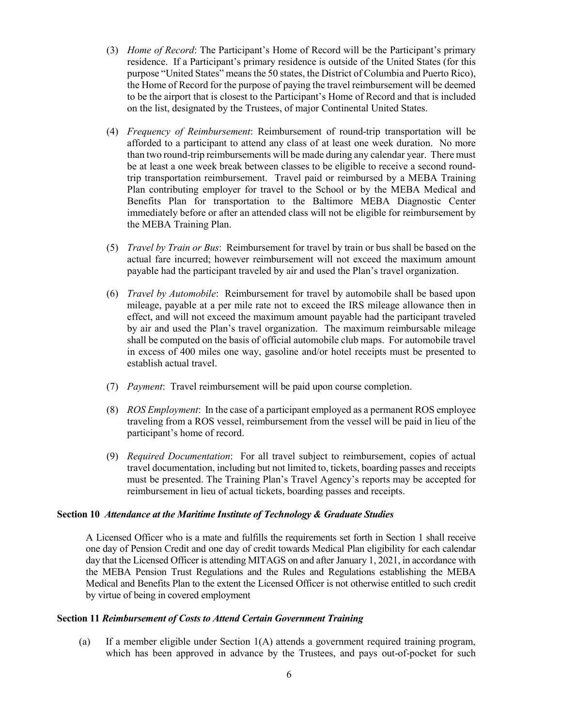- (3) *Home of Record*: The Participant's Home of Record will be the Participant's primary residence. If a Participant's primary residence is outside of the United States (for this purpose "United States" means the 50 states, the District of Columbia and Puerto Rico), the Home of Record for the purpose of paying the travel reimbursement will be deemed to be the airport that is closest to the Participant's Home of Record and that is included on the list, designated by the Trustees, of major Continental United States.
- (4) *Frequency of Reimbursement*: Reimbursement of round-trip transportation will be afforded to a participant to attend any class of at least one week duration. No more than two round-trip reimbursements will be made during any calendar year. There must be at least a one week break between classes to be eligible to receive a second roundtrip transportation reimbursement. Travel paid or reimbursed by a MEBA Training Plan contributing employer for travel to the School or by the MEBA Medical and Benefits Plan for transportation to the Baltimore MEBA Diagnostic Center immediately before or after an attended class will not be eligible for reimbursement by the MEBA Training Plan.
- (5) *Travel by Train or Bus*: Reimbursement for travel by train or bus shall be based on the actual fare incurred; however reimbursement will not exceed the maximum amount payable had the participant traveled by air and used the Plan's travel organization.
- (6) *Travel by Automobile*: Reimbursement for travel by automobile shall be based upon mileage, payable at a per mile rate not to exceed the IRS mileage allowance then in effect, and will not exceed the maximum amount payable had the participant traveled by air and used the Plan's travel organization. The maximum reimbursable mileage shall be computed on the basis of official automobile club maps. For automobile travel in excess of 400 miles one way, gasoline and/or hotel receipts must be presented to establish actual travel.
- (7) *Payment*: Travel reimbursement will be paid upon course completion.
- (8) *ROS Employment*: In the case of a participant employed as a permanent ROS employee traveling from a ROS vessel, reimbursement from the vessel will be paid in lieu of the participant's home of record.
- (9) *Required Documentation*: For all travel subject to reimbursement, copies of actual travel documentation, including but not limited to, tickets, boarding passes and receipts must be presented. The Training Plan's Travel Agency's reports may be accepted for reimbursement in lieu of actual tickets, boarding passes and receipts.

## **Section 10** *Attendance at the Maritime Institute of Technology & Graduate Studies*

A Licensed Officer who is a mate and fulfills the requirements set forth in Section 1 shall receive one day of Pension Credit and one day of credit towards Medical Plan eligibility for each calendar day that the Licensed Officer is attending MITAGS on and after January 1, 2021, in accordance with the MEBA Pension Trust Regulations and the Rules and Regulations establishing the MEBA Medical and Benefits Plan to the extent the Licensed Officer is not otherwise entitled to such credit by virtue of being in covered employment

### **Section 11** *Reimbursement of Costs to Attend Certain Government Training*

(a) If a member eligible under Section 1(A) attends a government required training program, which has been approved in advance by the Trustees, and pays out-of-pocket for such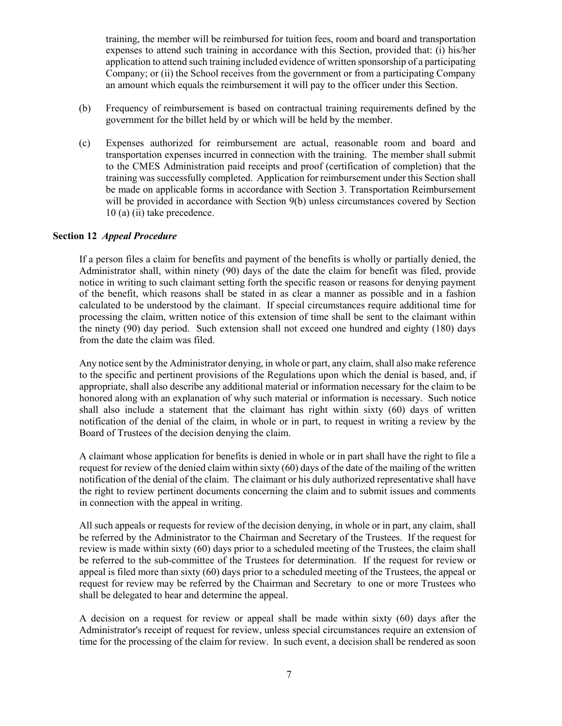training, the member will be reimbursed for tuition fees, room and board and transportation expenses to attend such training in accordance with this Section, provided that: (i) his/her application to attend such training included evidence of written sponsorship of a participating Company; or (ii) the School receives from the government or from a participating Company an amount which equals the reimbursement it will pay to the officer under this Section.

- (b) Frequency of reimbursement is based on contractual training requirements defined by the government for the billet held by or which will be held by the member.
- (c) Expenses authorized for reimbursement are actual, reasonable room and board and transportation expenses incurred in connection with the training. The member shall submit to the CMES Administration paid receipts and proof (certification of completion) that the training was successfully completed. Application for reimbursement under this Section shall be made on applicable forms in accordance with Section 3. Transportation Reimbursement will be provided in accordance with Section 9(b) unless circumstances covered by Section 10 (a) (ii) take precedence.

### **Section 12** *Appeal Procedure*

If a person files a claim for benefits and payment of the benefits is wholly or partially denied, the Administrator shall, within ninety (90) days of the date the claim for benefit was filed, provide notice in writing to such claimant setting forth the specific reason or reasons for denying payment of the benefit, which reasons shall be stated in as clear a manner as possible and in a fashion calculated to be understood by the claimant. If special circumstances require additional time for processing the claim, written notice of this extension of time shall be sent to the claimant within the ninety (90) day period. Such extension shall not exceed one hundred and eighty (180) days from the date the claim was filed.

Any notice sent by the Administrator denying, in whole or part, any claim, shall also make reference to the specific and pertinent provisions of the Regulations upon which the denial is based, and, if appropriate, shall also describe any additional material or information necessary for the claim to be honored along with an explanation of why such material or information is necessary. Such notice shall also include a statement that the claimant has right within sixty (60) days of written notification of the denial of the claim, in whole or in part, to request in writing a review by the Board of Trustees of the decision denying the claim.

A claimant whose application for benefits is denied in whole or in part shall have the right to file a request for review of the denied claim within sixty (60) days of the date of the mailing of the written notification of the denial of the claim. The claimant or his duly authorized representative shall have the right to review pertinent documents concerning the claim and to submit issues and comments in connection with the appeal in writing.

All such appeals or requests for review of the decision denying, in whole or in part, any claim, shall be referred by the Administrator to the Chairman and Secretary of the Trustees. If the request for review is made within sixty (60) days prior to a scheduled meeting of the Trustees, the claim shall be referred to the sub-committee of the Trustees for determination. If the request for review or appeal is filed more than sixty (60) days prior to a scheduled meeting of the Trustees, the appeal or request for review may be referred by the Chairman and Secretary to one or more Trustees who shall be delegated to hear and determine the appeal.

A decision on a request for review or appeal shall be made within sixty (60) days after the Administrator's receipt of request for review, unless special circumstances require an extension of time for the processing of the claim for review. In such event, a decision shall be rendered as soon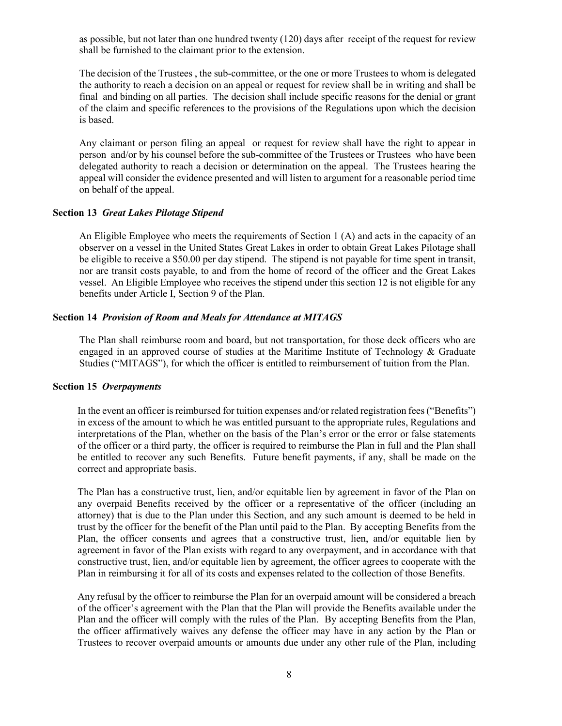as possible, but not later than one hundred twenty (120) days after receipt of the request for review shall be furnished to the claimant prior to the extension.

The decision of the Trustees , the sub-committee, or the one or more Trustees to whom is delegated the authority to reach a decision on an appeal or request for review shall be in writing and shall be final and binding on all parties. The decision shall include specific reasons for the denial or grant of the claim and specific references to the provisions of the Regulations upon which the decision is based.

Any claimant or person filing an appeal or request for review shall have the right to appear in person and/or by his counsel before the sub-committee of the Trustees or Trustees who have been delegated authority to reach a decision or determination on the appeal. The Trustees hearing the appeal will consider the evidence presented and will listen to argument for a reasonable period time on behalf of the appeal.

## **Section 13** *Great Lakes Pilotage Stipend*

An Eligible Employee who meets the requirements of Section 1 (A) and acts in the capacity of an observer on a vessel in the United States Great Lakes in order to obtain Great Lakes Pilotage shall be eligible to receive a \$50.00 per day stipend. The stipend is not payable for time spent in transit, nor are transit costs payable, to and from the home of record of the officer and the Great Lakes vessel. An Eligible Employee who receives the stipend under this section 12 is not eligible for any benefits under Article I, Section 9 of the Plan.

# **Section 14** *Provision of Room and Meals for Attendance at MITAGS*

The Plan shall reimburse room and board, but not transportation, for those deck officers who are engaged in an approved course of studies at the Maritime Institute of Technology & Graduate Studies ("MITAGS"), for which the officer is entitled to reimbursement of tuition from the Plan.

#### **Section 15** *Overpayments*

In the event an officer is reimbursed for tuition expenses and/or related registration fees ("Benefits") in excess of the amount to which he was entitled pursuant to the appropriate rules, Regulations and interpretations of the Plan, whether on the basis of the Plan's error or the error or false statements of the officer or a third party, the officer is required to reimburse the Plan in full and the Plan shall be entitled to recover any such Benefits. Future benefit payments, if any, shall be made on the correct and appropriate basis.

The Plan has a constructive trust, lien, and/or equitable lien by agreement in favor of the Plan on any overpaid Benefits received by the officer or a representative of the officer (including an attorney) that is due to the Plan under this Section, and any such amount is deemed to be held in trust by the officer for the benefit of the Plan until paid to the Plan. By accepting Benefits from the Plan, the officer consents and agrees that a constructive trust, lien, and/or equitable lien by agreement in favor of the Plan exists with regard to any overpayment, and in accordance with that constructive trust, lien, and/or equitable lien by agreement, the officer agrees to cooperate with the Plan in reimbursing it for all of its costs and expenses related to the collection of those Benefits.

Any refusal by the officer to reimburse the Plan for an overpaid amount will be considered a breach of the officer's agreement with the Plan that the Plan will provide the Benefits available under the Plan and the officer will comply with the rules of the Plan. By accepting Benefits from the Plan, the officer affirmatively waives any defense the officer may have in any action by the Plan or Trustees to recover overpaid amounts or amounts due under any other rule of the Plan, including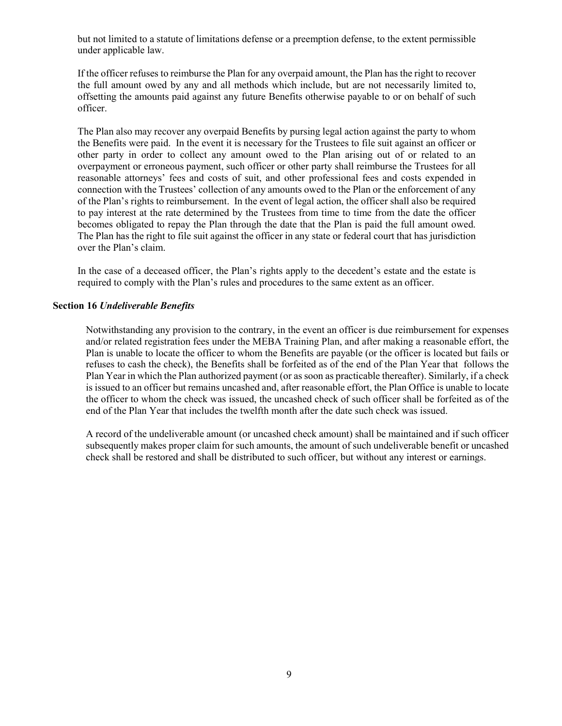but not limited to a statute of limitations defense or a preemption defense, to the extent permissible under applicable law.

If the officer refuses to reimburse the Plan for any overpaid amount, the Plan has the right to recover the full amount owed by any and all methods which include, but are not necessarily limited to, offsetting the amounts paid against any future Benefits otherwise payable to or on behalf of such officer.

The Plan also may recover any overpaid Benefits by pursing legal action against the party to whom the Benefits were paid. In the event it is necessary for the Trustees to file suit against an officer or other party in order to collect any amount owed to the Plan arising out of or related to an overpayment or erroneous payment, such officer or other party shall reimburse the Trustees for all reasonable attorneys' fees and costs of suit, and other professional fees and costs expended in connection with the Trustees' collection of any amounts owed to the Plan or the enforcement of any of the Plan's rights to reimbursement. In the event of legal action, the officer shall also be required to pay interest at the rate determined by the Trustees from time to time from the date the officer becomes obligated to repay the Plan through the date that the Plan is paid the full amount owed. The Plan has the right to file suit against the officer in any state or federal court that has jurisdiction over the Plan's claim.

In the case of a deceased officer, the Plan's rights apply to the decedent's estate and the estate is required to comply with the Plan's rules and procedures to the same extent as an officer.

## **Section 16** *Undeliverable Benefits*

Notwithstanding any provision to the contrary, in the event an officer is due reimbursement for expenses and/or related registration fees under the MEBA Training Plan, and after making a reasonable effort, the Plan is unable to locate the officer to whom the Benefits are payable (or the officer is located but fails or refuses to cash the check), the Benefits shall be forfeited as of the end of the Plan Year that follows the Plan Year in which the Plan authorized payment (or as soon as practicable thereafter). Similarly, if a check is issued to an officer but remains uncashed and, after reasonable effort, the Plan Office is unable to locate the officer to whom the check was issued, the uncashed check of such officer shall be forfeited as of the end of the Plan Year that includes the twelfth month after the date such check was issued.

A record of the undeliverable amount (or uncashed check amount) shall be maintained and if such officer subsequently makes proper claim for such amounts, the amount of such undeliverable benefit or uncashed check shall be restored and shall be distributed to such officer, but without any interest or earnings.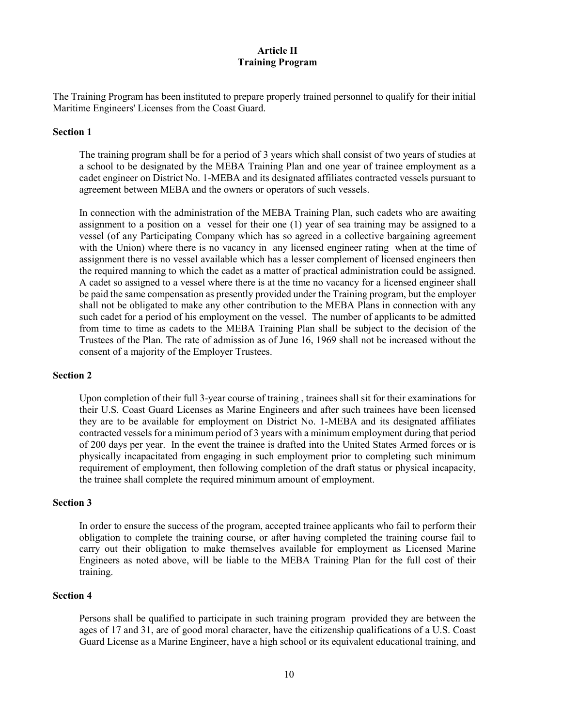# **Article II Training Program**

The Training Program has been instituted to prepare properly trained personnel to qualify for their initial Maritime Engineers' Licenses from the Coast Guard.

# **Section 1**

The training program shall be for a period of 3 years which shall consist of two years of studies at a school to be designated by the MEBA Training Plan and one year of trainee employment as a cadet engineer on District No. 1-MEBA and its designated affiliates contracted vessels pursuant to agreement between MEBA and the owners or operators of such vessels.

In connection with the administration of the MEBA Training Plan, such cadets who are awaiting assignment to a position on a vessel for their one (1) year of sea training may be assigned to a vessel (of any Participating Company which has so agreed in a collective bargaining agreement with the Union) where there is no vacancy in any licensed engineer rating when at the time of assignment there is no vessel available which has a lesser complement of licensed engineers then the required manning to which the cadet as a matter of practical administration could be assigned. A cadet so assigned to a vessel where there is at the time no vacancy for a licensed engineer shall be paid the same compensation as presently provided under the Training program, but the employer shall not be obligated to make any other contribution to the MEBA Plans in connection with any such cadet for a period of his employment on the vessel. The number of applicants to be admitted from time to time as cadets to the MEBA Training Plan shall be subject to the decision of the Trustees of the Plan. The rate of admission as of June 16, 1969 shall not be increased without the consent of a majority of the Employer Trustees.

#### **Section 2**

Upon completion of their full 3-year course of training , trainees shall sit for their examinations for their U.S. Coast Guard Licenses as Marine Engineers and after such trainees have been licensed they are to be available for employment on District No. 1-MEBA and its designated affiliates contracted vessels for a minimum period of 3 years with a minimum employment during that period of 200 days per year. In the event the trainee is drafted into the United States Armed forces or is physically incapacitated from engaging in such employment prior to completing such minimum requirement of employment, then following completion of the draft status or physical incapacity, the trainee shall complete the required minimum amount of employment.

### **Section 3**

In order to ensure the success of the program, accepted trainee applicants who fail to perform their obligation to complete the training course, or after having completed the training course fail to carry out their obligation to make themselves available for employment as Licensed Marine Engineers as noted above, will be liable to the MEBA Training Plan for the full cost of their training.

# **Section 4**

Persons shall be qualified to participate in such training program provided they are between the ages of 17 and 31, are of good moral character, have the citizenship qualifications of a U.S. Coast Guard License as a Marine Engineer, have a high school or its equivalent educational training, and